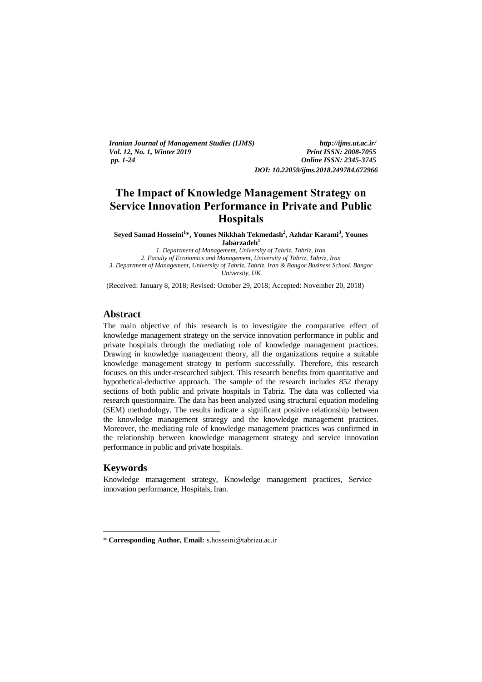| <i>Iranian Journal of Management Studies (IJMS)</i> | http://ijms.ut.ac.ir/                 |
|-----------------------------------------------------|---------------------------------------|
| <i>Vol. 12. No. 1. Winter 2019</i>                  | <b>Print ISSN: 2008-7055</b>          |
| pp. 1-24                                            | <b>Online ISSN: 2345-3745</b>         |
|                                                     | DOI: 10.22059/ijms.2018.249784.672966 |

# **The Impact of Knowledge Management Strategy on Service Innovation Performance in Private and Public Hospitals**

**Seyed Samad Hosseini<sup>1</sup> \*, Younes Nikkhah Tekmedash<sup>2</sup> , Azhdar Karami<sup>3</sup> , Younes Jabarzadeh<sup>1</sup>**

*1. Department of Management, University of Tabriz, Tabriz, Iran 2. Faculty of Economics and Management, University of Tabriz, Tabriz, Iran 3. Department of Management, University of Tabriz, Tabriz, Iran & Bangor Business School, Bangor University, UK*

(Received: January 8, 2018; Revised: October 29, 2018; Accepted: November 20, 2018)

# **Abstract**

The main objective of this research is to investigate the comparative effect of knowledge management strategy on the service innovation performance in public and private hospitals through the mediating role of knowledge management practices. Drawing in knowledge management theory, all the organizations require a suitable knowledge management strategy to perform successfully. Therefore, this research focuses on this under-researched subject. This research benefits from quantitative and hypothetical-deductive approach. The sample of the research includes 852 therapy sections of both public and private hospitals in Tabriz. The data was collected via research questionnaire. The data has been analyzed using structural equation modeling (SEM) methodology. The results indicate a significant positive relationship between the knowledge management strategy and the knowledge management practices. Moreover, the mediating role of knowledge management practices was confirmed in the relationship between knowledge management strategy and service innovation performance in public and private hospitals.

### **Keywords**

<u>.</u>

Knowledge management strategy, Knowledge management practices, Service innovation performance, Hospitals, Iran.

<sup>\*</sup> **Corresponding Author, Email:** s.hosseini@tabrizu.ac.ir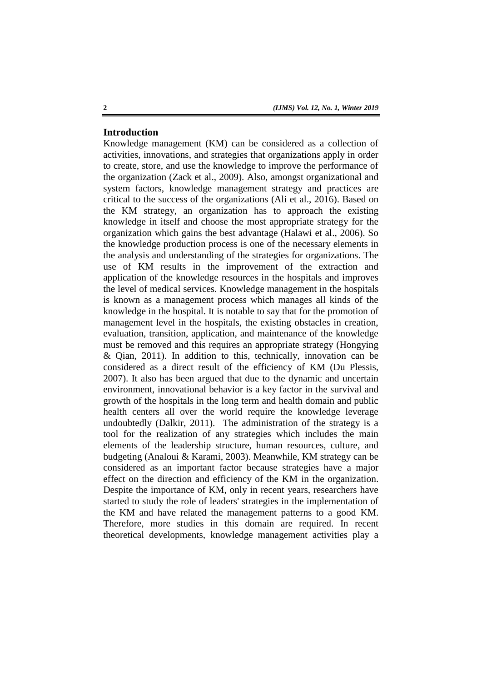# **Introduction**

Knowledge management (KM) can be considered as a collection of activities, innovations, and strategies that organizations apply in order to create, store, and use the knowledge to improve the performance of the organization (Zack et al., 2009). Also, amongst organizational and system factors, knowledge management strategy and practices are critical to the success of the organizations (Ali et al., 2016). Based on the KM strategy, an organization has to approach the existing knowledge in itself and choose the most appropriate strategy for the organization which gains the best advantage (Halawi et al., 2006). So the knowledge production process is one of the necessary elements in the analysis and understanding of the strategies for organizations. The use of KM results in the improvement of the extraction and application of the knowledge resources in the hospitals and improves the level of medical services. Knowledge management in the hospitals is known as a management process which manages all kinds of the knowledge in the hospital. It is notable to say that for the promotion of management level in the hospitals, the existing obstacles in creation, evaluation, transition, application, and maintenance of the knowledge must be removed and this requires an appropriate strategy (Hongying & Qian, 2011). In addition to this, technically, innovation can be considered as a direct result of the efficiency of KM (Du Plessis, 2007). It also has been argued that due to the dynamic and uncertain environment, innovational behavior is a key factor in the survival and growth of the hospitals in the long term and health domain and public health centers all over the world require the knowledge leverage undoubtedly (Dalkir, 2011). The administration of the strategy is a tool for the realization of any strategies which includes the main elements of the leadership structure, human resources, culture, and budgeting (Analoui & Karami, 2003). Meanwhile, KM strategy can be considered as an important factor because strategies have a major effect on the direction and efficiency of the KM in the organization. Despite the importance of KM, only in recent years, researchers have started to study the role of leaders' strategies in the implementation of the KM and have related the management patterns to a good KM. Therefore, more studies in this domain are required. In recent theoretical developments, knowledge management activities play a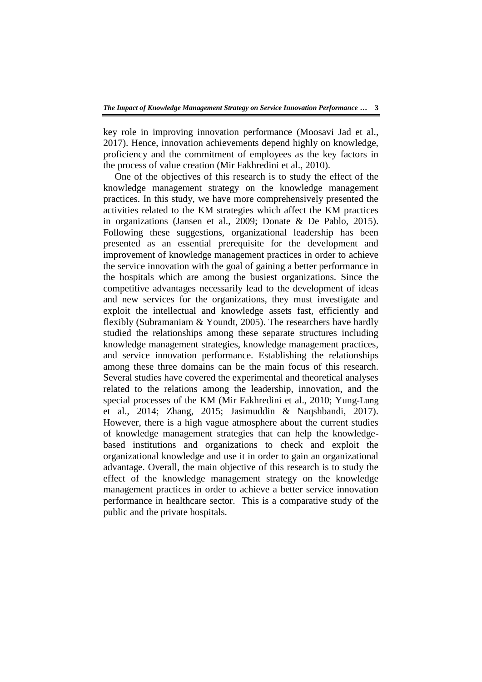key role in improving innovation performance (Moosavi Jad et al., 2017). Hence, innovation achievements depend highly on knowledge, proficiency and the commitment of employees as the key factors in the process of value creation (Mir Fakhredini et al., 2010).

One of the objectives of this research is to study the effect of the knowledge management strategy on the knowledge management practices. In this study, we have more comprehensively presented the activities related to the KM strategies which affect the KM practices in organizations (Jansen et al., 2009; Donate & De Pablo, 2015). Following these suggestions, organizational leadership has been presented as an essential prerequisite for the development and improvement of knowledge management practices in order to achieve the service innovation with the goal of gaining a better performance in the hospitals which are among the busiest organizations. Since the competitive advantages necessarily lead to the development of ideas and new services for the organizations, they must investigate and exploit the intellectual and knowledge assets fast, efficiently and flexibly (Subramaniam & Youndt, 2005). The researchers have hardly studied the relationships among these separate structures including knowledge management strategies, knowledge management practices, and service innovation performance. Establishing the relationships among these three domains can be the main focus of this research. Several studies have covered the experimental and theoretical analyses related to the relations among the leadership, innovation, and the special processes of the KM (Mir Fakhredini et al., 2010; Yung-Lung et al., 2014; Zhang, 2015; Jasimuddin & Naqshbandi, 2017). However, there is a high vague atmosphere about the current studies of knowledge management strategies that can help the knowledgebased institutions and organizations to check and exploit the organizational knowledge and use it in order to gain an organizational advantage. Overall, the main objective of this research is to study the effect of the knowledge management strategy on the knowledge management practices in order to achieve a better service innovation performance in healthcare sector. This is a comparative study of the public and the private hospitals.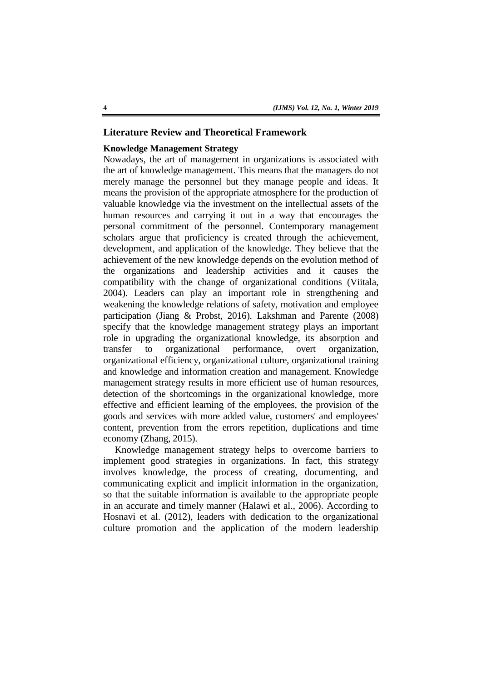## **Literature Review and Theoretical Framework**

# **Knowledge Management Strategy**

Nowadays, the art of management in organizations is associated with the art of knowledge management. This means that the managers do not merely manage the personnel but they manage people and ideas. It means the provision of the appropriate atmosphere for the production of valuable knowledge via the investment on the intellectual assets of the human resources and carrying it out in a way that encourages the personal commitment of the personnel. Contemporary management scholars argue that proficiency is created through the achievement, development, and application of the knowledge. They believe that the achievement of the new knowledge depends on the evolution method of the organizations and leadership activities and it causes the compatibility with the change of organizational conditions (Viitala, 2004). Leaders can play an important role in strengthening and weakening the knowledge relations of safety, motivation and employee participation (Jiang & Probst, 2016). Lakshman and Parente (2008) specify that the knowledge management strategy plays an important role in upgrading the organizational knowledge, its absorption and transfer to organizational performance, overt organization, organizational efficiency, organizational culture, organizational training and knowledge and information creation and management. Knowledge management strategy results in more efficient use of human resources, detection of the shortcomings in the organizational knowledge, more effective and efficient learning of the employees, the provision of the goods and services with more added value, customers' and employees' content, prevention from the errors repetition, duplications and time economy (Zhang, 2015).

Knowledge management strategy helps to overcome barriers to implement good strategies in organizations. In fact, this strategy involves knowledge, the process of creating, documenting, and communicating explicit and implicit information in the organization, so that the suitable information is available to the appropriate people in an accurate and timely manner (Halawi et al., 2006). According to Hosnavi et al. (2012), leaders with dedication to the organizational culture promotion and the application of the modern leadership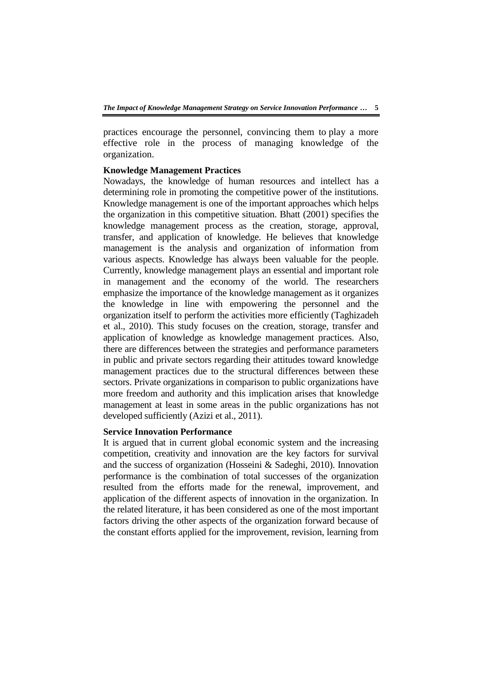practices encourage the personnel, convincing them to play a more effective role in the process of managing knowledge of the organization.

### **Knowledge Management Practices**

Nowadays, the knowledge of human resources and intellect has a determining role in promoting the competitive power of the institutions. Knowledge management is one of the important approaches which helps the organization in this competitive situation. Bhatt (2001) specifies the knowledge management process as the creation, storage, approval, transfer, and application of knowledge. He believes that knowledge management is the analysis and organization of information from various aspects. Knowledge has always been valuable for the people. Currently, knowledge management plays an essential and important role in management and the economy of the world. The researchers emphasize the importance of the knowledge management as it organizes the knowledge in line with empowering the personnel and the organization itself to perform the activities more efficiently (Taghizadeh et al., 2010). This study focuses on the creation, storage, transfer and application of knowledge as knowledge management practices. Also, there are differences between the strategies and performance parameters in public and private sectors regarding their attitudes toward knowledge management practices due to the structural differences between these sectors. Private organizations in comparison to public organizations have more freedom and authority and this implication arises that knowledge management at least in some areas in the public organizations has not developed sufficiently (Azizi et al., 2011).

# **Service Innovation Performance**

It is argued that in current global economic system and the increasing competition, creativity and innovation are the key factors for survival and the success of organization (Hosseini & Sadeghi, 2010). Innovation performance is the combination of total successes of the organization resulted from the efforts made for the renewal, improvement, and application of the different aspects of innovation in the organization. In the related literature, it has been considered as one of the most important factors driving the other aspects of the organization forward because of the constant efforts applied for the improvement, revision, learning from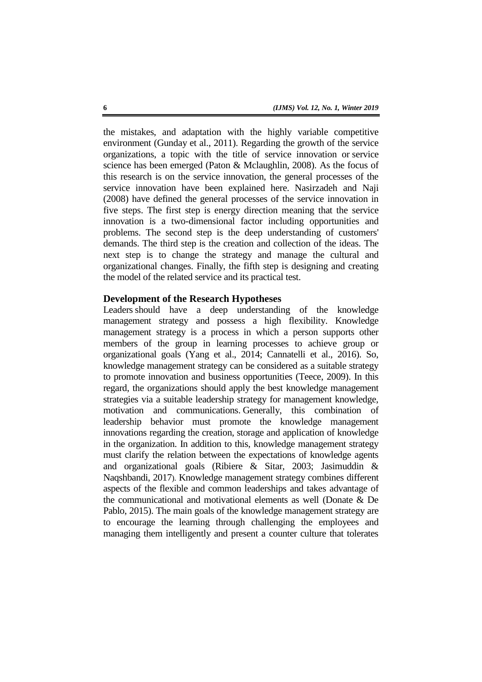the mistakes, and adaptation with the highly variable competitive environment (Gunday et al., 2011). Regarding the growth of the service organizations, a topic with the title of service innovation or service science has been emerged (Paton & Mclaughlin, 2008). As the focus of this research is on the service innovation, the general processes of the service innovation have been explained here. Nasirzadeh and Naji (2008) have defined the general processes of the service innovation in five steps. The first step is energy direction meaning that the service innovation is a two-dimensional factor including opportunities and problems. The second step is the deep understanding of customers' demands. The third step is the creation and collection of the ideas. The next step is to change the strategy and manage the cultural and organizational changes. Finally, the fifth step is designing and creating the model of the related service and its practical test.

# **Development of the Research Hypotheses**

Leaders should have a deep understanding of the knowledge management strategy and possess a high flexibility. Knowledge management strategy is a process in which a person supports other members of the group in learning processes to achieve group or organizational goals (Yang et al., 2014; Cannatelli et al., 2016). So, knowledge management strategy can be considered as a suitable strategy to promote innovation and business opportunities (Teece, 2009). In this regard, the organizations should apply the best knowledge management strategies via a suitable leadership strategy for management knowledge, motivation and communications. Generally, this combination of leadership behavior must promote the knowledge management innovations regarding the creation, storage and application of knowledge in the organization. In addition to this, knowledge management strategy must clarify the relation between the expectations of knowledge agents and organizational goals (Ribiere & Sitar, 2003; Jasimuddin & Naqshbandi, 2017). Knowledge management strategy combines different aspects of the flexible and common leaderships and takes advantage of the communicational and motivational elements as well (Donate & De Pablo, 2015). The main goals of the knowledge management strategy are to encourage the learning through challenging the employees and managing them intelligently and present a counter culture that tolerates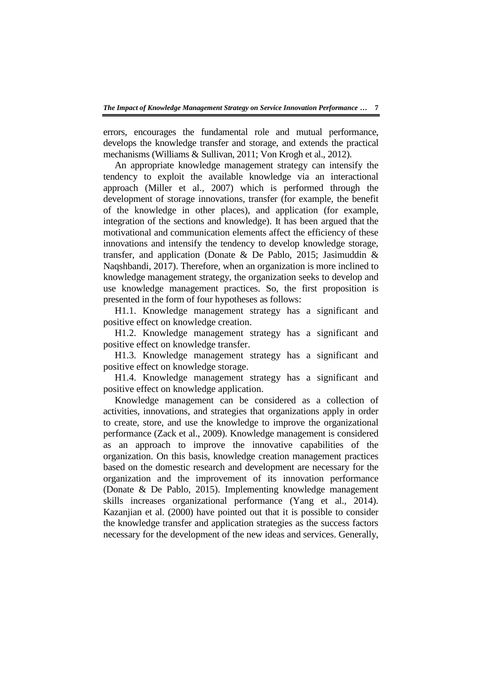errors, encourages the fundamental role and mutual performance, develops the knowledge transfer and storage, and extends the practical mechanisms (Williams & Sullivan, 2011; Von Krogh et al., 2012).

An appropriate knowledge management strategy can intensify the tendency to exploit the available knowledge via an interactional approach (Miller et al., 2007) which is performed through the development of storage innovations, transfer (for example, the benefit of the knowledge in other places), and application (for example, integration of the sections and knowledge). It has been argued that the motivational and communication elements affect the efficiency of these innovations and intensify the tendency to develop knowledge storage, transfer, and application (Donate & De Pablo, 2015; Jasimuddin & Naqshbandi, 2017). Therefore, when an organization is more inclined to knowledge management strategy, the organization seeks to develop and use knowledge management practices. So, the first proposition is presented in the form of four hypotheses as follows:

H1.1. Knowledge management strategy has a significant and positive effect on knowledge creation.

H1.2. Knowledge management strategy has a significant and positive effect on knowledge transfer.

H1.3. Knowledge management strategy has a significant and positive effect on knowledge storage.

H1.4. Knowledge management strategy has a significant and positive effect on knowledge application.

Knowledge management can be considered as a collection of activities, innovations, and strategies that organizations apply in order to create, store, and use the knowledge to improve the organizational performance (Zack et al., 2009). Knowledge management is considered as an approach to improve the innovative capabilities of the organization. On this basis, knowledge creation management practices based on the domestic research and development are necessary for the organization and the improvement of its innovation performance (Donate & De Pablo, 2015). Implementing knowledge management skills increases organizational performance (Yang et al., 2014). Kazanjian et al. (2000) have pointed out that it is possible to consider the knowledge transfer and application strategies as the success factors necessary for the development of the new ideas and services. Generally,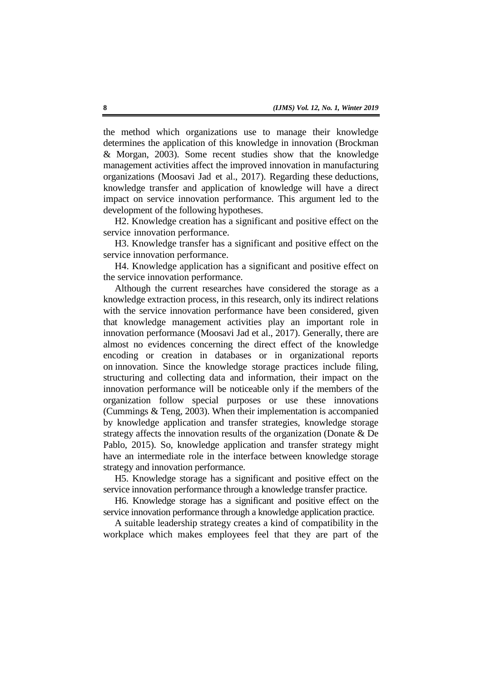the method which organizations use to manage their knowledge determines the application of this knowledge in innovation (Brockman & Morgan, 2003). Some recent studies show that the knowledge management activities affect the improved innovation in manufacturing organizations (Moosavi Jad et al., 2017). Regarding these deductions, knowledge transfer and application of knowledge will have a direct impact on service innovation performance. This argument led to the development of the following hypotheses.

H2. Knowledge creation has a significant and positive effect on the service innovation performance.

H3. Knowledge transfer has a significant and positive effect on the service innovation performance.

H4. Knowledge application has a significant and positive effect on the service innovation performance.

Although the current researches have considered the storage as a knowledge extraction process, in this research, only its indirect relations with the service innovation performance have been considered, given that knowledge management activities play an important role in innovation performance (Moosavi Jad et al., 2017). Generally, there are almost no evidences concerning the direct effect of the knowledge encoding or creation in databases or in organizational reports on innovation. Since the knowledge storage practices include filing, structuring and collecting data and information, their impact on the innovation performance will be noticeable only if the members of the organization follow special purposes or use these innovations (Cummings & Teng, 2003). When their implementation is accompanied by knowledge application and transfer strategies, knowledge storage strategy affects the innovation results of the organization (Donate & De Pablo, 2015). So, knowledge application and transfer strategy might have an intermediate role in the interface between knowledge storage strategy and innovation performance.

H5. Knowledge storage has a significant and positive effect on the service innovation performance through a knowledge transfer practice.

H6. Knowledge storage has a significant and positive effect on the service innovation performance through a knowledge application practice.

A suitable leadership strategy creates a kind of compatibility in the workplace which makes employees feel that they are part of the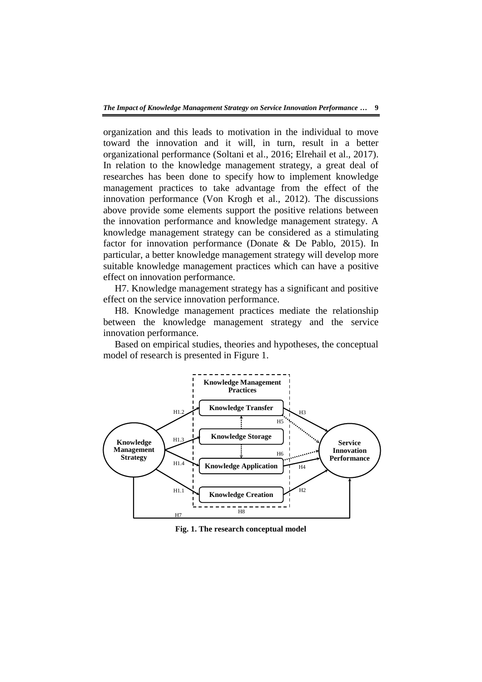organization and this leads to motivation in the individual to move toward the innovation and it will, in turn, result in a better organizational performance (Soltani et al., 2016; Elrehail et al., 2017). In relation to the knowledge management strategy, a great deal of researches has been done to specify how to implement knowledge management practices to take advantage from the effect of the innovation performance (Von Krogh et al., 2012). The discussions above provide some elements support the positive relations between the innovation performance and knowledge management strategy. A knowledge management strategy can be considered as a stimulating factor for innovation performance (Donate & De Pablo, 2015). In particular, a better knowledge management strategy will develop more suitable knowledge management practices which can have a positive effect on innovation performance.

H7. Knowledge management strategy has a significant and positive effect on the service innovation performance.

H8. Knowledge management practices mediate the relationship between the knowledge management strategy and the service innovation performance.

Based on empirical studies, theories and hypotheses, the conceptual model of research is presented in Figure 1.



**Fig. 1. The research conceptual model**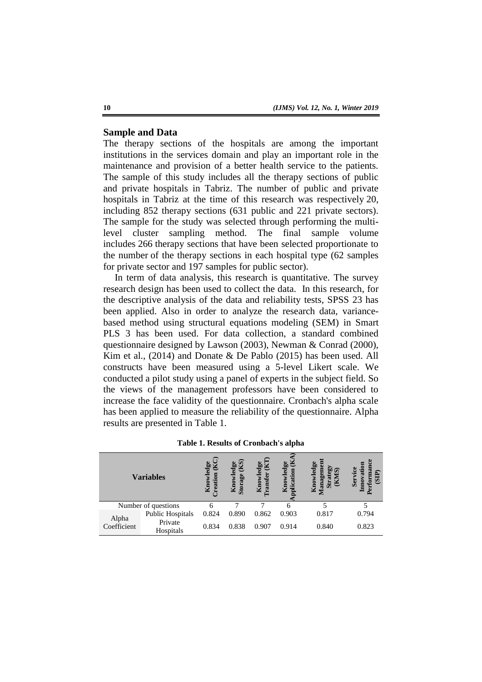# **Sample and Data**

The therapy sections of the hospitals are among the important institutions in the services domain and play an important role in the maintenance and provision of a better health service to the patients. The sample of this study includes all the therapy sections of public and private hospitals in Tabriz. The number of public and private hospitals in Tabriz at the time of this research was respectively 20, including 852 therapy sections (631 public and 221 private sectors). The sample for the study was selected through performing the multilevel cluster sampling method. The final sample volume includes 266 therapy sections that have been selected proportionate to the number of the therapy sections in each hospital type (62 samples for private sector and 197 samples for public sector).

In term of data analysis, this research is quantitative. The survey research design has been used to collect the data. In this research, for the descriptive analysis of the data and reliability tests, SPSS 23 has been applied. Also in order to analyze the research data, variancebased method using structural equations modeling (SEM) in Smart PLS 3 has been used. For data collection, a standard combined questionnaire designed by Lawson (2003), Newman & Conrad (2000), Kim et al., (2014) and Donate & De Pablo (2015) has been used. All constructs have been measured using a 5-level Likert scale. We conducted a pilot study using a panel of experts in the subject field. So the views of the management professors have been considered to increase the face validity of the questionnaire. Cronbach's alpha scale has been applied to measure the reliability of the questionnaire. Alpha results are presented in Table 1.

| <b>Variables</b>     |                      | po<br>eation<br>K <sub>no</sub> | $\alpha$<br>edge<br><b>ge</b><br>Know<br>Stora | $\deg$<br>≅<br>K <sub>no</sub> | 9e<br>Ÿ | edg<br>$\widehat{\mathbf{z}}$<br>ЬÓ<br>τ<br>¥<br>$\overline{\mathbf{s}}$<br>$\overline{\mathbf{a}}$<br>$\mathbf{K}$ | ω<br>ъ<br>ō<br>छ<br>Ser<br>Ξ |
|----------------------|----------------------|---------------------------------|------------------------------------------------|--------------------------------|---------|---------------------------------------------------------------------------------------------------------------------|------------------------------|
| Number of questions  |                      | h                               |                                                |                                |         |                                                                                                                     |                              |
|                      | Public Hospitals     | 0.824                           | 0.890                                          | 0.862                          | 0.903   | 0.817                                                                                                               | 0.794                        |
| Alpha<br>Coefficient | Private<br>Hospitals | 0.834                           | 0.838                                          | 0.907                          | 0.914   | 0.840                                                                                                               | 0.823                        |

**Table 1. Results of Cronbach's alpha**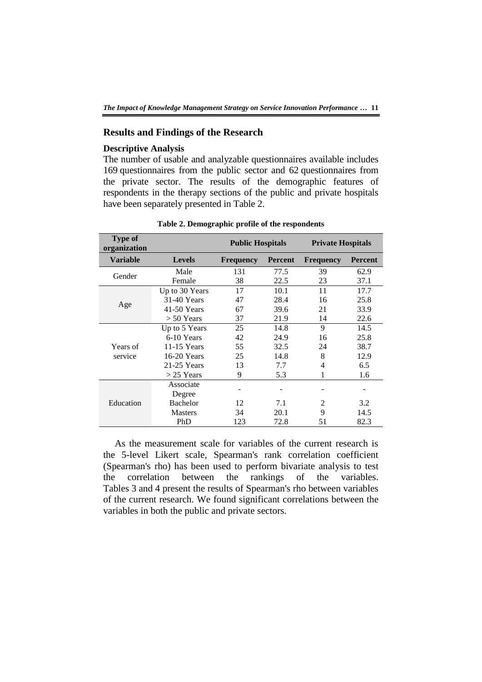# **Results and Findings of the Research**

# **Descriptive Analysis**

The number of usable and analyzable questionnaires available includes 169 questionnaires from the public sector and 62 questionnaires from the private sector. The results of the demographic features of respondents in the therapy sections of the public and private hospitals have been separately presented in Table 2.

| <b>Type of</b><br>organization |                 | <b>Public Hospitals</b> |                | <b>Private Hospitals</b> |                |
|--------------------------------|-----------------|-------------------------|----------------|--------------------------|----------------|
| <b>Variable</b>                | <b>Levels</b>   | <b>Frequency</b>        | <b>Percent</b> | <b>Frequency</b>         | <b>Percent</b> |
| Gender                         | Male            | 131                     | 77.5           | 39                       | 62.9           |
|                                | Female          | 38                      | 22.5           | 23                       | 37.1           |
|                                | Up to 30 Years  | 17                      | 10.1           | 11                       | 17.7           |
|                                | 31-40 Years     | 47                      | 28.4           | 16                       | 25.8           |
| Age                            | $41-50$ Years   | 67                      | 39.6           | 21                       | 33.9           |
|                                | $> 50$ Years    | 37                      | 21.9           | 14                       | 22.6           |
|                                | Up to 5 Years   | 25                      | 14.8           | 9                        | 14.5           |
|                                | 6-10 Years      | 42                      | 24.9           | 16                       | 25.8           |
| Years of                       | 11-15 Years     | 55                      | 32.5           | 24                       | 38.7           |
| service                        | 16-20 Years     | 25                      | 14.8           | 8                        | 12.9           |
|                                | $21-25$ Years   | 13                      | 7.7            | 4                        | 6.5            |
|                                | $>$ 25 Years    | 9                       | 5.3            | 1                        | 1.6            |
|                                | Associate       |                         |                |                          |                |
|                                | Degree          |                         |                |                          |                |
| Education                      | <b>Bachelor</b> | 12                      | 7.1            | 2                        | 3.2            |
|                                | <b>Masters</b>  | 34                      | 20.1           | 9                        | 14.5           |
|                                | PhD             | 123                     | 72.8           | 51                       | 82.3           |

#### **Table 2. Demographic profile of the respondents**

As the measurement scale for variables of the current research is the 5-level Likert scale, Spearman's rank correlation coefficient (Spearman's rho) has been used to perform bivariate analysis to test the correlation between the rankings of the variables. Tables 3 and 4 present the results of Spearman's rho between variables of the current research. We found significant correlations between the variables in both the public and private sectors.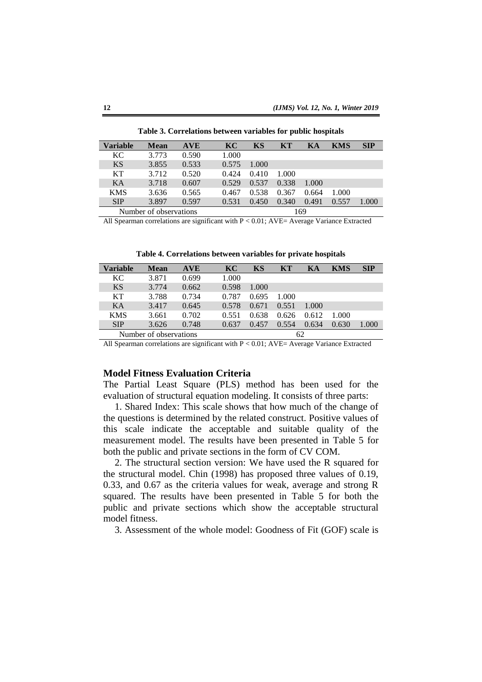| Variable   | <b>Mean</b>            | <b>AVE</b> | KC    | KS    | KT    | KА    | KMS   | <b>SIP</b> |
|------------|------------------------|------------|-------|-------|-------|-------|-------|------------|
| KC.        | 3.773                  | 0.590      | 1.000 |       |       |       |       |            |
| <b>KS</b>  | 3.855                  | 0.533      | 0.575 | 1.000 |       |       |       |            |
| KТ         | 3.712                  | 0.520      | 0.424 | 0.410 | 1.000 |       |       |            |
| KA         | 3.718                  | 0.607      | 0.529 | 0.537 | 0.338 | 1.000 |       |            |
| <b>KMS</b> | 3.636                  | 0.565      | 0.467 | 0.538 | 0.367 | 0.664 | 1.000 |            |
| <b>SIP</b> | 3.897                  | 0.597      | 0.531 | 0.450 | 0.340 | 0.491 | 0.557 | 1.000      |
|            | Number of observations |            |       |       |       | 169   |       |            |

**Table 3. Correlations between variables for public hospitals**

All Spearman correlations are significant with  $P < 0.01$ ; AVE= Average Variance Extracted

**Table 4. Correlations between variables for private hospitals**

| Variable   | <b>Mean</b>            | <b>AVE</b> | KC    | KS    | <b>KT</b> | KА    | KMS   | <b>SIP</b> |
|------------|------------------------|------------|-------|-------|-----------|-------|-------|------------|
| KC         | 3.871                  | 0.699      | 1.000 |       |           |       |       |            |
| <b>KS</b>  | 3.774                  | 0.662      | 0.598 | 1.000 |           |       |       |            |
| KT         | 3.788                  | 0.734      | 0.787 | 0.695 | 1.000     |       |       |            |
| KA         | 3.417                  | 0.645      | 0.578 | 0.671 | 0.551     | 1.000 |       |            |
| <b>KMS</b> | 3.661                  | 0.702      | 0.551 | 0.638 | 0.626     | 0.612 | 1.000 |            |
| <b>SIP</b> | 3.626                  | 0.748      | 0.637 | 0.457 | 0.554     | 0.634 | 0.630 | 1.000      |
|            | Number of observations |            | 62    |       |           |       |       |            |

All Spearman correlations are significant with P < 0.01; AVE= Average Variance Extracted

### **Model Fitness Evaluation Criteria**

The Partial Least Square (PLS) method has been used for the evaluation of structural equation modeling. It consists of three parts:

1. Shared Index: This scale shows that how much of the change of the questions is determined by the related construct. Positive values of this scale indicate the acceptable and suitable quality of the measurement model. The results have been presented in Table 5 for both the public and private sections in the form of CV COM.

2. The structural section version: We have used the R squared for the structural model. Chin (1998) has proposed three values of 0.19, 0.33, and 0.67 as the criteria values for weak, average and strong R squared. The results have been presented in Table 5 for both the public and private sections which show the acceptable structural model fitness.

3. Assessment of the whole model: Goodness of Fit (GOF) scale is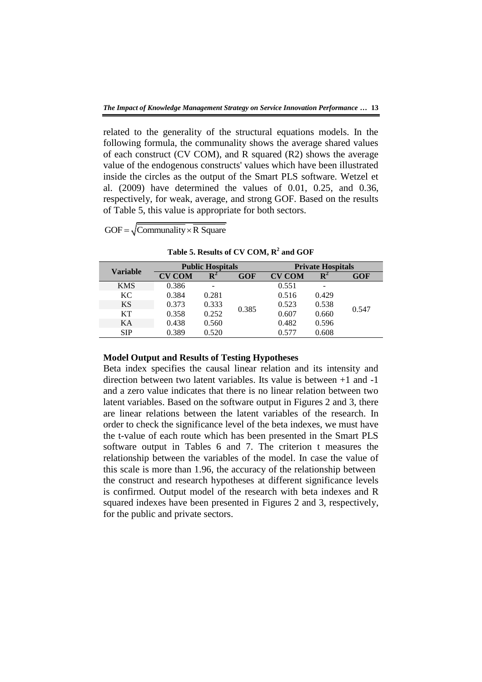related to the generality of the structural equations models. In the following formula, the communality shows the average shared values of each construct (CV COM), and R squared (R2) shows the average value of the endogenous constructs' values which have been illustrated inside the circles as the output of the Smart PLS software. Wetzel et al. (2009) have determined the values of 0.01, 0.25, and 0.36, respectively, for weak, average, and strong GOF. Based on the results of Table 5, this value is appropriate for both sectors.

| GOF = $\sqrt{\text{Commanality} \times \text{R} \text{ Square}}$ |  |
|------------------------------------------------------------------|--|

| Variable   | <b>Public Hospitals</b> |                |       | <b>Private Hospitals</b> |                |            |
|------------|-------------------------|----------------|-------|--------------------------|----------------|------------|
|            | <b>CV COM</b>           | $\mathbf{R}^2$ | GOF   | <b>CV COM</b>            | $\mathbf{R}^2$ | <b>GOF</b> |
| <b>KMS</b> | 0.386                   |                |       | 0.551                    | -              |            |
| KC         | 0.384                   | 0.281          |       | 0.516                    | 0.429          |            |
| <b>KS</b>  | 0.373                   | 0.333          | 0.385 | 0.523                    | 0.538          | 0.547      |
| KT         | 0.358                   | 0.252          |       | 0.607                    | 0.660          |            |
| KA         | 0.438                   | 0.560          |       | 0.482                    | 0.596          |            |
| <b>SIP</b> | 0.389                   | 0.520          |       | 0.577                    | 0.608          |            |

**Table 5. Results of CV COM, R<sup>2</sup> and GOF**

#### **Model Output and Results of Testing Hypotheses**

Beta index specifies the causal linear relation and its intensity and direction between two latent variables. Its value is between +1 and -1 and a zero value indicates that there is no linear relation between two latent variables. Based on the software output in Figures 2 and 3, there are linear relations between the latent variables of the research. In order to check the significance level of the beta indexes, we must have the t-value of each route which has been presented in the Smart PLS software output in Tables 6 and 7. The criterion t measures the relationship between the variables of the model. In case the value of this scale is more than 1.96, the accuracy of the relationship between the construct and research hypotheses at different significance levels is confirmed. Output model of the research with beta indexes and R squared indexes have been presented in Figures 2 and 3, respectively, for the public and private sectors.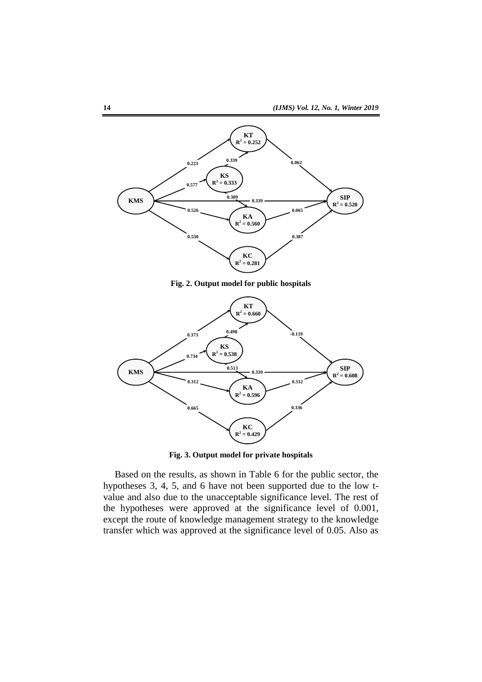

**Fig. 2. Output model for public hospitals**



**Fig. 3. Output model for private hospitals**

Based on the results, as shown in Table 6 for the public sector, the hypotheses 3, 4, 5, and 6 have not been supported due to the low tvalue and also due to the unacceptable significance level. The rest of the hypotheses were approved at the significance level of 0.001, except the route of knowledge management strategy to the knowledge transfer which was approved at the significance level of 0.05. Also as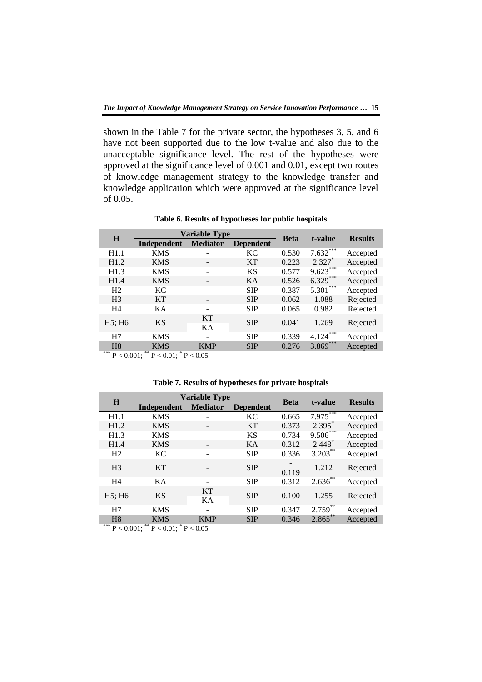shown in the Table 7 for the private sector, the hypotheses 3, 5, and 6 have not been supported due to the low t-value and also due to the unacceptable significance level. The rest of the hypotheses were approved at the significance level of 0.001 and 0.01, except two routes of knowledge management strategy to the knowledge transfer and knowledge application which were approved at the significance level of 0.05.

| <b>Variable Type</b><br>H |             |                 |                  |             | t-value      |                |
|---------------------------|-------------|-----------------|------------------|-------------|--------------|----------------|
|                           | Independent | <b>Mediator</b> | <b>Dependent</b> | <b>Beta</b> |              | <b>Results</b> |
| H1.1                      | <b>KMS</b>  |                 | <b>KC</b>        | 0.530       | $7.632***$   | Accepted       |
| H1.2                      | <b>KMS</b>  |                 | <b>KT</b>        | 0.223       | $2.327*$     | Accepted       |
| H1.3                      | <b>KMS</b>  | ۰               | <b>KS</b>        | 0.577       | $9.623***$   | Accepted       |
| H1.4                      | <b>KMS</b>  | -               | KA               | 0.526       | $6.329***$   | Accepted       |
| H <sub>2</sub>            | KC          | -               | <b>SIP</b>       | 0.387       | $5.301***$   | Accepted       |
| H <sub>3</sub>            | <b>KT</b>   | -               | <b>SIP</b>       | 0.062       | 1.088        | Rejected       |
| H <sub>4</sub>            | KA          | -               | <b>SIP</b>       | 0.065       | 0.982        | Rejected       |
| $H5$ ; $H6$               | <b>KS</b>   | <b>KT</b><br>KA | <b>SIP</b>       | 0.041       | 1.269        | Rejected       |
| H7                        | <b>KMS</b>  | ۰               | <b>SIP</b>       | 0.339       | ***<br>4.124 | Accepted       |
| H8                        | <b>KMS</b>  | <b>KMP</b>      | <b>SIP</b>       | 0.276       | $3.869***$   | Accepted       |

**Table 6. Results of hypotheses for public hospitals**

\*\*\*  $P < 0.001$ ; \*\*  $P < 0.01$ ; \*  $P < 0.05$ 

|  |  | Table 7. Results of hypotheses for private hospitals |
|--|--|------------------------------------------------------|
|--|--|------------------------------------------------------|

| H              | <b>Variable Type</b> | <b>Beta</b>                         | t-value    | <b>Results</b>                    |            |          |
|----------------|----------------------|-------------------------------------|------------|-----------------------------------|------------|----------|
|                | Independent          | <b>Mediator</b><br><b>Dependent</b> |            |                                   |            |          |
| H1.1           | <b>KMS</b>           |                                     | <b>KC</b>  | 0.665                             | $7.975***$ | Accepted |
| H1.2           | <b>KMS</b>           |                                     | <b>KT</b>  | 0.373                             | $2.395*$   | Accepted |
| H1.3           | <b>KMS</b>           | ۰                                   | <b>KS</b>  | 0.734                             | $9.506***$ | Accepted |
| H1.4           | <b>KMS</b>           | $\overline{\phantom{a}}$            | KA         | 0.312                             | $2.448*$   | Accepted |
| H <sub>2</sub> | <b>KC</b>            | ۰                                   | <b>SIP</b> | 0.336                             | $3.203***$ | Accepted |
| H <sub>3</sub> | <b>KT</b>            |                                     | <b>SIP</b> | $\overline{\phantom{a}}$<br>0.119 | 1.212      | Rejected |
| H <sub>4</sub> | KA                   | ۰                                   | <b>SIP</b> | 0.312                             | $2.636***$ | Accepted |
| $H5$ ; $H6$    | <b>KS</b>            | <b>KT</b><br>KA                     | <b>SIP</b> | 0.100                             | 1.255      | Rejected |
| H7             | <b>KMS</b>           | ۰                                   | <b>SIP</b> | 0.347                             | $2.759***$ | Accepted |
| H <sub>8</sub> | KMS                  | <b>KMP</b>                          | <b>SIP</b> | 0.346                             | $2.865***$ | Accepted |

\*\*\*  $P < 0.001$ ; \*\*  $P < 0.01$ ; \*  $P < 0.05$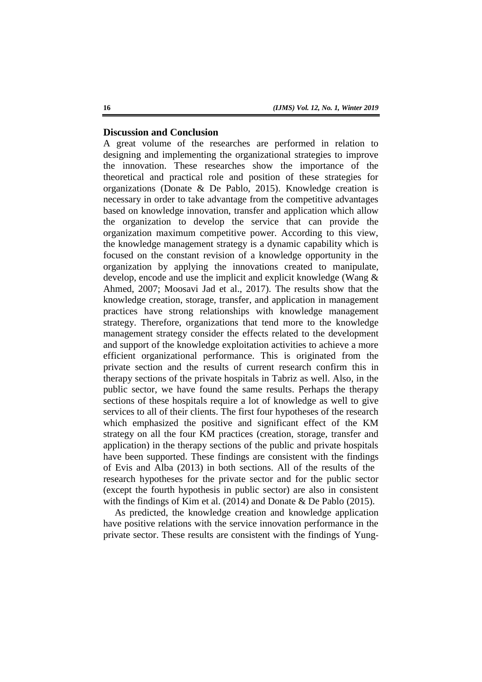# **Discussion and Conclusion**

A great volume of the researches are performed in relation to designing and implementing the organizational strategies to improve the innovation. These researches show the importance of the theoretical and practical role and position of these strategies for organizations (Donate & De Pablo, 2015). Knowledge creation is necessary in order to take advantage from the competitive advantages based on knowledge innovation, transfer and application which allow the organization to develop the service that can provide the organization maximum competitive power. According to this view, the knowledge management strategy is a dynamic capability which is focused on the constant revision of a knowledge opportunity in the organization by applying the innovations created to manipulate, develop, encode and use the implicit and explicit knowledge (Wang & Ahmed, 2007; Moosavi Jad et al., 2017). The results show that the knowledge creation, storage, transfer, and application in management practices have strong relationships with knowledge management strategy. Therefore, organizations that tend more to the knowledge management strategy consider the effects related to the development and support of the knowledge exploitation activities to achieve a more efficient organizational performance. This is originated from the private section and the results of current research confirm this in therapy sections of the private hospitals in Tabriz as well. Also, in the public sector, we have found the same results. Perhaps the therapy sections of these hospitals require a lot of knowledge as well to give services to all of their clients. The first four hypotheses of the research which emphasized the positive and significant effect of the KM strategy on all the four KM practices (creation, storage, transfer and application) in the therapy sections of the public and private hospitals have been supported. These findings are consistent with the findings of Evis and Alba (2013) in both sections. All of the results of the research hypotheses for the private sector and for the public sector (except the fourth hypothesis in public sector) are also in consistent with the findings of Kim et al. (2014) and Donate & De Pablo (2015).

As predicted, the knowledge creation and knowledge application have positive relations with the service innovation performance in the private sector. These results are consistent with the findings of Yung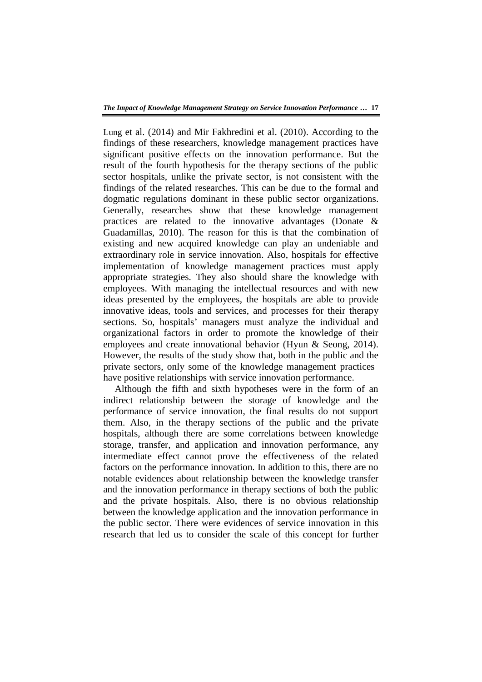Lung et al. (2014) and Mir Fakhredini et al. (2010). According to the findings of these researchers, knowledge management practices have significant positive effects on the innovation performance. But the result of the fourth hypothesis for the therapy sections of the public sector hospitals, unlike the private sector, is not consistent with the findings of the related researches. This can be due to the formal and dogmatic regulations dominant in these public sector organizations. Generally, researches show that these knowledge management practices are related to the innovative advantages (Donate & Guadamillas, 2010). The reason for this is that the combination of existing and new acquired knowledge can play an undeniable and extraordinary role in service innovation. Also, hospitals for effective implementation of knowledge management practices must apply appropriate strategies. They also should share the knowledge with employees. With managing the intellectual resources and with new ideas presented by the employees, the hospitals are able to provide innovative ideas, tools and services, and processes for their therapy sections. So, hospitals' managers must analyze the individual and organizational factors in order to promote the knowledge of their employees and create innovational behavior (Hyun & Seong, 2014). However, the results of the study show that, both in the public and the private sectors, only some of the knowledge management practices have positive relationships with service innovation performance.

Although the fifth and sixth hypotheses were in the form of an indirect relationship between the storage of knowledge and the performance of service innovation, the final results do not support them. Also, in the therapy sections of the public and the private hospitals, although there are some correlations between knowledge storage, transfer, and application and innovation performance, any intermediate effect cannot prove the effectiveness of the related factors on the performance innovation. In addition to this, there are no notable evidences about relationship between the knowledge transfer and the innovation performance in therapy sections of both the public and the private hospitals. Also, there is no obvious relationship between the knowledge application and the innovation performance in the public sector. There were evidences of service innovation in this research that led us to consider the scale of this concept for further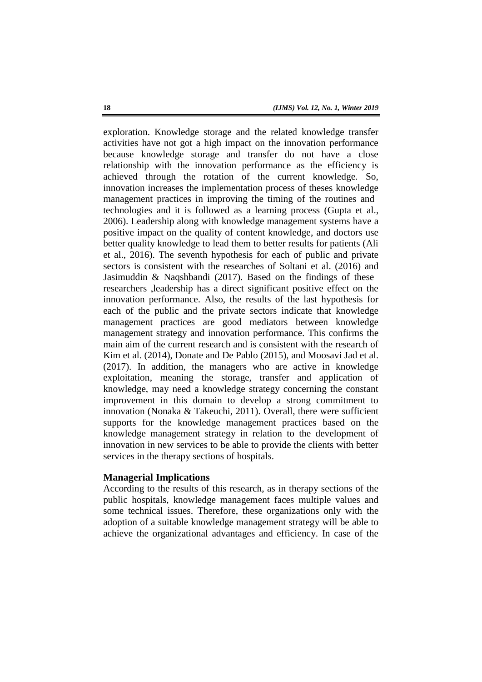exploration. Knowledge storage and the related knowledge transfer activities have not got a high impact on the innovation performance because knowledge storage and transfer do not have a close relationship with the innovation performance as the efficiency is achieved through the rotation of the current knowledge. So, innovation increases the implementation process of theses knowledge management practices in improving the timing of the routines and technologies and it is followed as a learning process (Gupta et al., 2006). Leadership along with knowledge management systems have a positive impact on the quality of content knowledge, and doctors use better quality knowledge to lead them to better results for patients (Ali et al., 2016). The seventh hypothesis for each of public and private sectors is consistent with the researches of Soltani et al. (2016) and Jasimuddin & Naqshbandi (2017). Based on the findings of these researchers ,leadership has a direct significant positive effect on the innovation performance. Also, the results of the last hypothesis for each of the public and the private sectors indicate that knowledge management practices are good mediators between knowledge management strategy and innovation performance. This confirms the main aim of the current research and is consistent with the research of Kim et al. (2014), Donate and De Pablo (2015), and Moosavi Jad et al. (2017). In addition, the managers who are active in knowledge exploitation, meaning the storage, transfer and application of knowledge, may need a knowledge strategy concerning the constant improvement in this domain to develop a strong commitment to innovation (Nonaka & Takeuchi, 2011). Overall, there were sufficient supports for the knowledge management practices based on the knowledge management strategy in relation to the development of innovation in new services to be able to provide the clients with better services in the therapy sections of hospitals.

#### **Managerial Implications**

According to the results of this research, as in therapy sections of the public hospitals, knowledge management faces multiple values and some technical issues. Therefore, these organizations only with the adoption of a suitable knowledge management strategy will be able to achieve the organizational advantages and efficiency. In case of the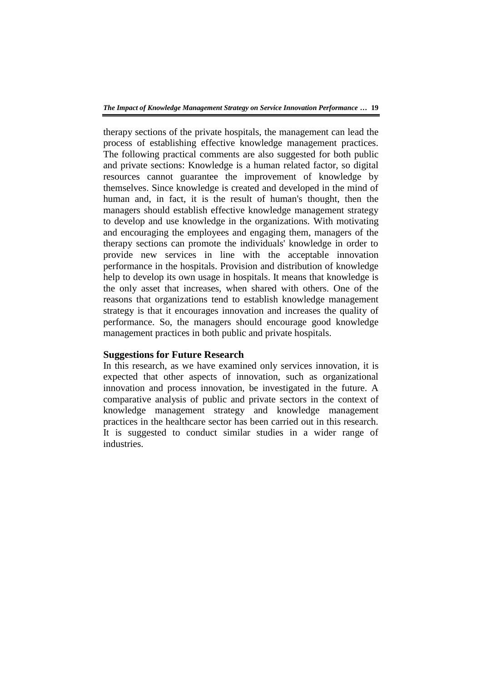therapy sections of the private hospitals, the management can lead the process of establishing effective knowledge management practices. The following practical comments are also suggested for both public and private sections: Knowledge is a human related factor, so digital resources cannot guarantee the improvement of knowledge by themselves. Since knowledge is created and developed in the mind of human and, in fact, it is the result of human's thought, then the managers should establish effective knowledge management strategy to develop and use knowledge in the organizations. With motivating and encouraging the employees and engaging them, managers of the therapy sections can promote the individuals' knowledge in order to provide new services in line with the acceptable innovation performance in the hospitals. Provision and distribution of knowledge help to develop its own usage in hospitals. It means that knowledge is the only asset that increases, when shared with others. One of the reasons that organizations tend to establish knowledge management strategy is that it encourages innovation and increases the quality of performance. So, the managers should encourage good knowledge management practices in both public and private hospitals.

# **Suggestions for Future Research**

In this research, as we have examined only services innovation, it is expected that other aspects of innovation, such as organizational innovation and process innovation, be investigated in the future. A comparative analysis of public and private sectors in the context of knowledge management strategy and knowledge management practices in the healthcare sector has been carried out in this research. It is suggested to conduct similar studies in a wider range of industries.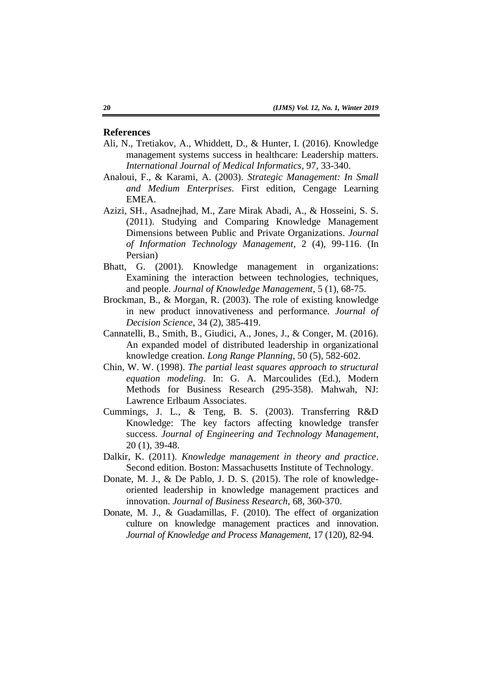# **References**

- Ali, N., Tretiakov, A., Whiddett, D., & Hunter, I. (2016). Knowledge management systems success in healthcare: Leadership matters. *International Journal of Medical Informatics*, 97, 33-340.
- Analoui, F., & Karami, A. (2003). *Strategic Management: In Small and Medium Enterprises*. First edition, Cengage Learning EMEA.
- Azizi, SH., Asadnejhad, M., Zare Mirak Abadi, A., & Hosseini, S. S. (2011). Studying and Comparing Knowledge Management Dimensions between Public and Private Organizations. *Journal of Information Technology Management*, 2 (4), 99-116. (In Persian)
- Bhatt, G. (2001). Knowledge management in organizations: Examining the interaction between technologies, techniques, and people. *Journal of Knowledge Management*, 5 (1), 68-75.
- Brockman, B., & Morgan, R. (2003). The role of existing knowledge in new product innovativeness and performance. *Journal of Decision Science*, 34 (2), 385-419.
- Cannatelli, B., Smith, B., Giudici, A., Jones, J., & Conger, M. (2016). An expanded model of distributed leadership in organizational knowledge creation. *Long Range Planning*, 50 (5), 582-602.
- Chin, W. W. (1998). *The partial least squares approach to structural equation modeling*. In: G. A. Marcoulides (Ed.), Modern Methods for Business Research (295-358). Mahwah, NJ: Lawrence Erlbaum Associates.
- Cummings, J. L., & Teng, B. S. (2003). Transferring R&D Knowledge: The key factors affecting knowledge transfer success. *Journal of Engineering and Technology Management*, 20 (1), 39-48.
- Dalkir, K. (2011). *Knowledge management in theory and practice*. Second edition. Boston: Massachusetts Institute of Technology.
- Donate, M. J., & De Pablo, J. D. S. (2015). The role of knowledgeoriented leadership in knowledge management practices and innovation. *Journal of Business Research*, 68, 360-370.
- Donate, M. J., & Guadamillas, F. (2010). The effect of organization culture on knowledge management practices and innovation. *Journal of Knowledge and Process Management*, 17 (120), 82-94.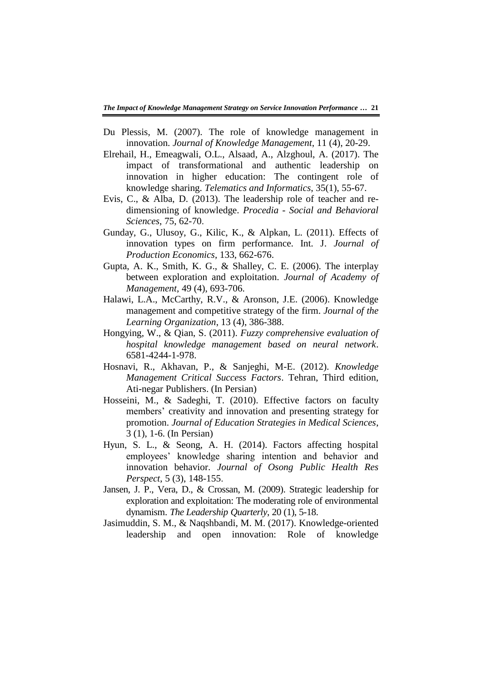- Du Plessis, M. (2007). The role of knowledge management in innovation. *Journal of Knowledge Management*, 11 (4), 20-29.
- Elrehail, H., Emeagwali, O.L., Alsaad, A., Alzghoul, A. (2017). The impact of transformational and authentic leadership on innovation in higher education: The contingent role of knowledge sharing. *Telematics and Informatics*, 35(1), 55-67.
- Evis, C., & Alba, D. (2013). The leadership role of teacher and redimensioning of knowledge. *Procedia - Social and Behavioral Sciences*, 75, 62-70.
- Gunday, G., Ulusoy, G., Kilic, K., & Alpkan, L. (2011). Effects of innovation types on firm performance. Int. J. *Journal of Production Economics*, 133, 662-676.
- Gupta, A. K., Smith, K. G., & Shalley, C. E. (2006). The interplay between exploration and exploitation. *Journal of Academy of Management*, 49 (4), 693-706.
- Halawi, L.A., McCarthy, R.V., & Aronson, J.E. (2006). Knowledge management and competitive strategy of the firm. *Journal of the Learning Organization*, 13 (4), 386-388.
- Hongying, W., & Qian, S. (2011). *Fuzzy comprehensive evaluation of hospital knowledge management based on neural network*. 6581-4244-1-978.
- Hosnavi, R., Akhavan, P., & Sanjeghi, M-E. (2012). *Knowledge Management Critical Success Factors*. Tehran, Third edition, Ati-negar Publishers. (In Persian)
- Hosseini, M., & Sadeghi, T. (2010). Effective factors on faculty members' creativity and innovation and presenting strategy for promotion. *Journal of Education Strategies in Medical Sciences*, 3 (1), 1-6. (In Persian)
- Hyun, S. L., & Seong, A. H. (2014). Factors affecting hospital employees' knowledge sharing intention and behavior and innovation behavior. *Journal of Osong Public Health Res Perspect*, 5 (3), 148-155.
- Jansen, J. P., Vera, D., & Crossan, M. (2009). Strategic leadership for exploration and exploitation: The moderating role of environmental dynamism. *The Leadership Quarterly*, 20 (1), 5-18.
- Jasimuddin, S. M., & Naqshbandi, M. M. (2017). Knowledge-oriented leadership and open innovation: Role of knowledge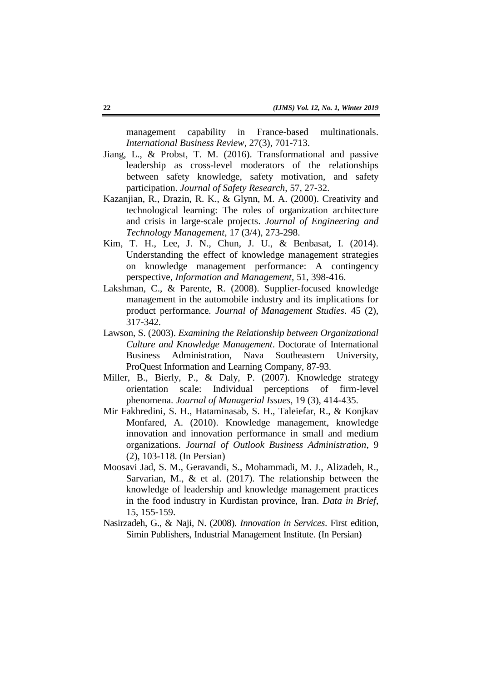management capability in France-based multinationals. *International Business Review*, 27(3), 701-713.

- Jiang, L., & Probst, T. M. (2016). Transformational and passive leadership as cross-level moderators of the relationships between safety knowledge, safety motivation, and safety participation. *Journal of Safety Research*, 57, 27-32.
- Kazanjian, R., Drazin, R. K., & Glynn, M. A. (2000). Creativity and technological learning: The roles of organization architecture and crisis in large-scale projects. *Journal of Engineering and Technology Management*, 17 (3/4), 273-298.
- Kim, T. H., Lee, J. N., Chun, J. U., & Benbasat, I. (2014). Understanding the effect of knowledge management strategies on knowledge management performance: A contingency perspective, *Information and Management*, 51, 398-416.
- Lakshman, C., & Parente, R. (2008). Supplier-focused knowledge management in the automobile industry and its implications for product performance. *Journal of Management Studies*. 45 (2), 317-342.
- Lawson, S. (2003). *Examining the Relationship between Organizational Culture and Knowledge Management*. Doctorate of International Business Administration, Nava Southeastern University, ProQuest Information and Learning Company, 87-93.
- Miller, B., Bierly, P., & Daly, P. (2007). Knowledge strategy orientation scale: Individual perceptions of firm-level phenomena. *Journal of Managerial Issues*, 19 (3), 414-435.
- Mir Fakhredini, S. H., Hataminasab, S. H., Taleiefar, R., & Konjkav Monfared, A. (2010). Knowledge management, knowledge innovation and innovation performance in small and medium organizations. *Journal of Outlook Business Administration*, 9 (2), 103-118. (In Persian)
- Moosavi Jad, S. M., Geravandi, S., Mohammadi, M. J., Alizadeh, R., Sarvarian, M., & et al. (2017). The relationship between the knowledge of leadership and knowledge management practices in the food industry in Kurdistan province, Iran. *Data in Brief*, 15, 155-159.
- Nasirzadeh, G., & Naji, N. (2008). *Innovation in Services*. First edition, Simin Publishers, Industrial Management Institute. (In Persian)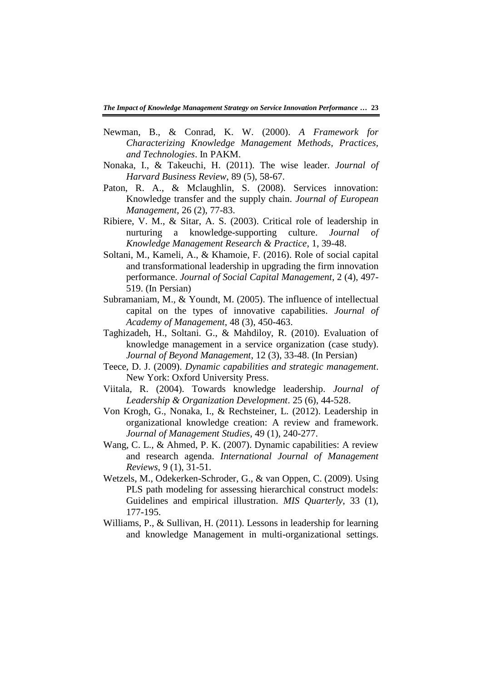- Newman, B., & Conrad, K. W. (2000). *A Framework for Characterizing Knowledge Management Methods, Practices, and Technologies*. In PAKM.
- Nonaka, I., & Takeuchi, H. (2011). The wise leader. *Journal of Harvard Business Review*, 89 (5), 58-67.
- Paton, R. A., & Mclaughlin, S. (2008). Services innovation: Knowledge transfer and the supply chain. *Journal of European Management*, 26 (2), 77-83.
- Ribiere, V. M., & Sitar, A. S. (2003). Critical role of leadership in nurturing a knowledge-supporting culture. *Journal of Knowledge Management Research & Practice*, 1, 39-48.
- Soltani, M., Kameli, A., & Khamoie, F. (2016). Role of social capital and transformational leadership in upgrading the firm innovation performance. *Journal of Social Capital Management*, 2 (4), 497- 519. (In Persian)
- Subramaniam, M., & Youndt, M. (2005). The influence of intellectual capital on the types of innovative capabilities. *Journal of Academy of Management*, 48 (3), 450-463.
- Taghizadeh, H., Soltani. G., & Mahdiloy, R. (2010). Evaluation of knowledge management in a service organization (case study). *Journal of Beyond Management*, 12 (3), 33-48. (In Persian)
- Teece, D. J. (2009). *Dynamic capabilities and strategic management*. New York: Oxford University Press.
- Viitala, R. (2004). Towards knowledge leadership. *Journal of Leadership & Organization Development*. 25 (6), 44-528.
- Von Krogh, G., Nonaka, I., & Rechsteiner, L. (2012). Leadership in organizational knowledge creation: A review and framework. *Journal of Management Studies*, 49 (1), 240-277.
- Wang, C. L., & Ahmed, P. K. (2007). Dynamic capabilities: A review and research agenda. *International Journal of Management Reviews*, 9 (1), 31-51.
- Wetzels, M., Odekerken-Schroder, G., & van Oppen, C. (2009). Using PLS path modeling for assessing hierarchical construct models: Guidelines and empirical illustration. *MIS Quarterly*, 33 (1), 177-195.
- Williams, P., & Sullivan, H. (2011). Lessons in leadership for learning and knowledge Management in multi-organizational settings.